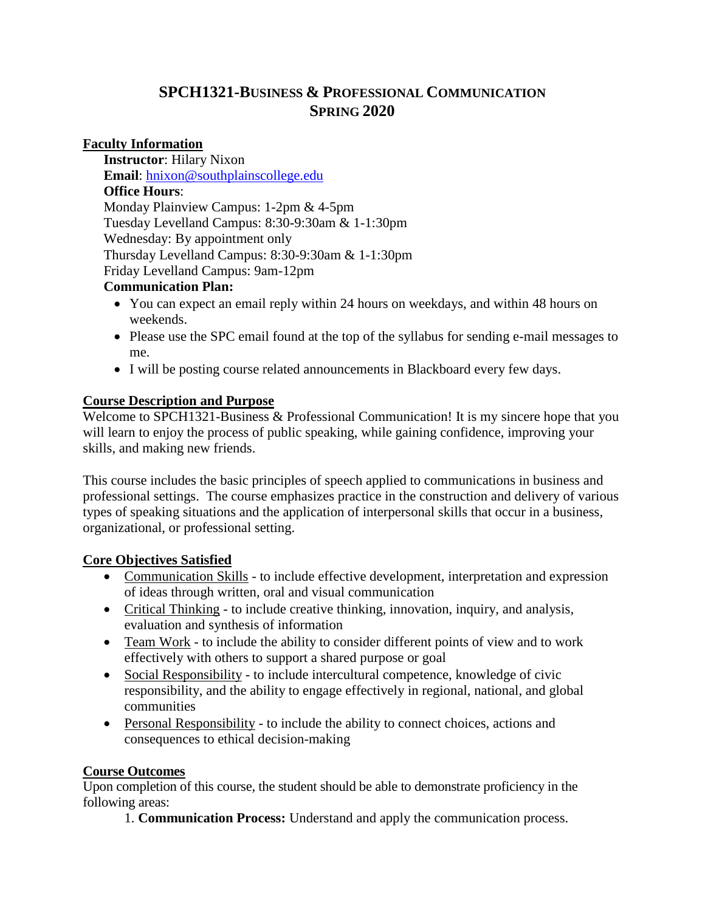# **SPCH1321-BUSINESS & PROFESSIONAL COMMUNICATION SPRING 2020**

## **Faculty Information**

**Instructor**: Hilary Nixon **Email**: [hnixon@southplainscollege.edu](mailto:hnixon@southplainscollege.edu) **Office Hours**: Monday Plainview Campus: 1-2pm & 4-5pm Tuesday Levelland Campus: 8:30-9:30am & 1-1:30pm Wednesday: By appointment only Thursday Levelland Campus: 8:30-9:30am & 1-1:30pm Friday Levelland Campus: 9am-12pm

### **Communication Plan:**

- You can expect an email reply within 24 hours on weekdays, and within 48 hours on weekends.
- Please use the SPC email found at the top of the syllabus for sending e-mail messages to me.
- I will be posting course related announcements in Blackboard every few days.

## **Course Description and Purpose**

Welcome to SPCH1321-Business & Professional Communication! It is my sincere hope that you will learn to enjoy the process of public speaking, while gaining confidence, improving your skills, and making new friends.

This course includes the basic principles of speech applied to communications in business and professional settings. The course emphasizes practice in the construction and delivery of various types of speaking situations and the application of interpersonal skills that occur in a business, organizational, or professional setting.

## **Core Objectives Satisfied**

- Communication Skills to include effective development, interpretation and expression of ideas through written, oral and visual communication
- Critical Thinking to include creative thinking, innovation, inquiry, and analysis, evaluation and synthesis of information
- Team Work to include the ability to consider different points of view and to work effectively with others to support a shared purpose or goal
- Social Responsibility to include intercultural competence, knowledge of civic responsibility, and the ability to engage effectively in regional, national, and global communities
- Personal Responsibility to include the ability to connect choices, actions and consequences to ethical decision-making

## **Course Outcomes**

Upon completion of this course, the student should be able to demonstrate proficiency in the following areas:

1. **Communication Process:** Understand and apply the communication process.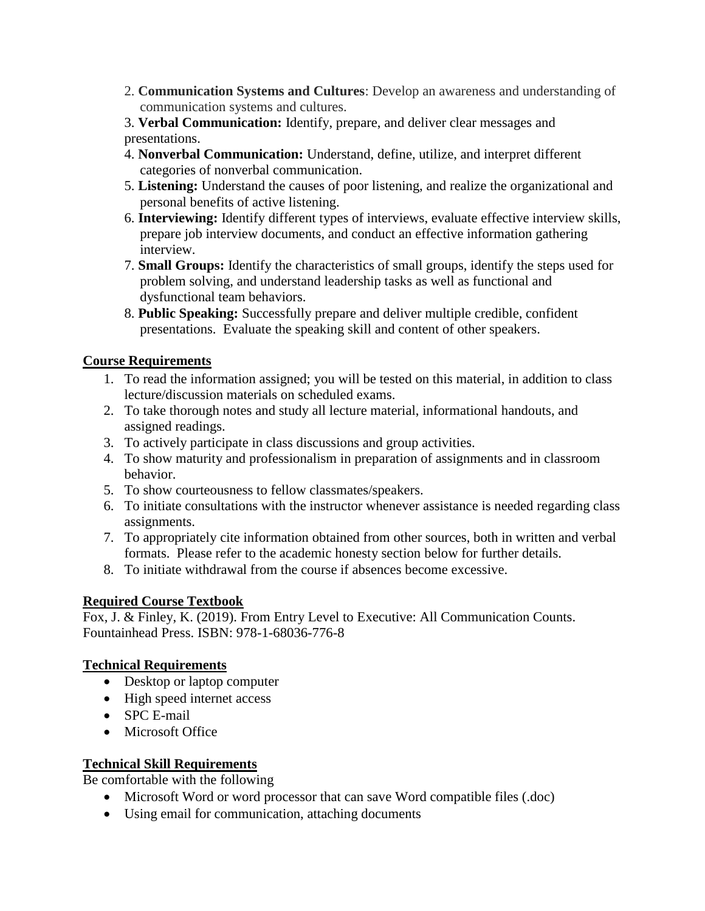2. **Communication Systems and Cultures**: Develop an awareness and understanding of communication systems and cultures.

3. **Verbal Communication:** Identify, prepare, and deliver clear messages and presentations.

- 4. **Nonverbal Communication:** Understand, define, utilize, and interpret different categories of nonverbal communication.
- 5. **Listening:** Understand the causes of poor listening, and realize the organizational and personal benefits of active listening.
- 6. **Interviewing:** Identify different types of interviews, evaluate effective interview skills, prepare job interview documents, and conduct an effective information gathering interview.
- 7. **Small Groups:** Identify the characteristics of small groups, identify the steps used for problem solving, and understand leadership tasks as well as functional and dysfunctional team behaviors.
- 8. **Public Speaking:** Successfully prepare and deliver multiple credible, confident presentations. Evaluate the speaking skill and content of other speakers.

## **Course Requirements**

- 1. To read the information assigned; you will be tested on this material, in addition to class lecture/discussion materials on scheduled exams.
- 2. To take thorough notes and study all lecture material, informational handouts, and assigned readings.
- 3. To actively participate in class discussions and group activities.
- 4. To show maturity and professionalism in preparation of assignments and in classroom behavior.
- 5. To show courteousness to fellow classmates/speakers.
- 6. To initiate consultations with the instructor whenever assistance is needed regarding class assignments.
- 7. To appropriately cite information obtained from other sources, both in written and verbal formats. Please refer to the academic honesty section below for further details.
- 8. To initiate withdrawal from the course if absences become excessive.

# **Required Course Textbook**

Fox, J. & Finley, K. (2019). From Entry Level to Executive: All Communication Counts. Fountainhead Press. ISBN: 978-1-68036-776-8

## **Technical Requirements**

- Desktop or laptop computer
- High speed internet access
- SPC E-mail
- Microsoft Office

# **Technical Skill Requirements**

Be comfortable with the following

- Microsoft Word or word processor that can save Word compatible files (.doc)
- Using email for communication, attaching documents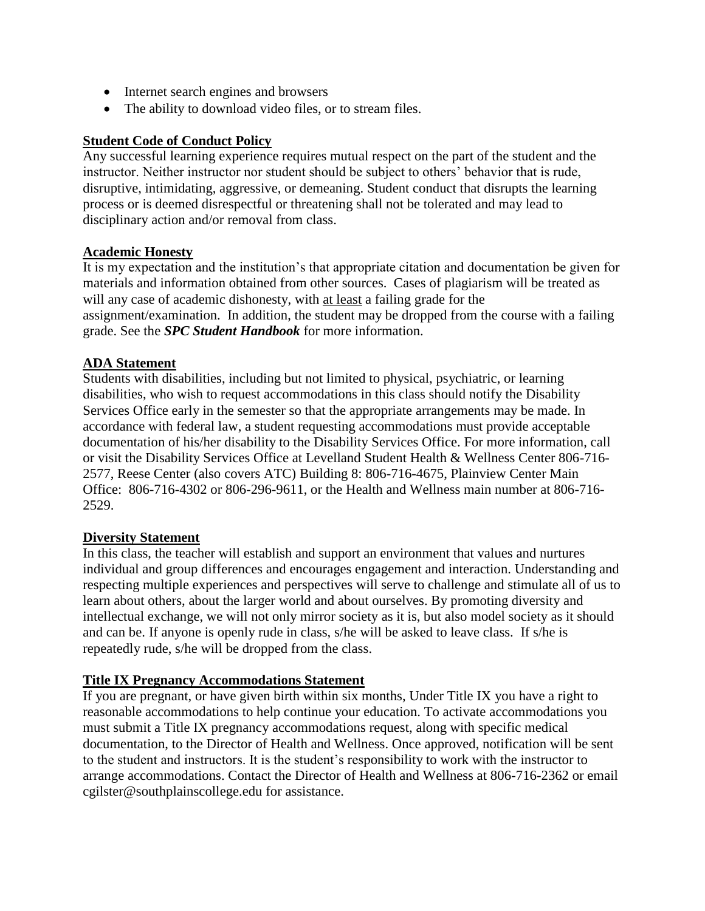- Internet search engines and browsers
- The ability to download video files, or to stream files.

### **Student Code of Conduct Policy**

Any successful learning experience requires mutual respect on the part of the student and the instructor. Neither instructor nor student should be subject to others' behavior that is rude, disruptive, intimidating, aggressive, or demeaning. Student conduct that disrupts the learning process or is deemed disrespectful or threatening shall not be tolerated and may lead to disciplinary action and/or removal from class.

### **Academic Honesty**

It is my expectation and the institution's that appropriate citation and documentation be given for materials and information obtained from other sources. Cases of plagiarism will be treated as will any case of academic dishonesty, with at least a failing grade for the assignment/examination. In addition, the student may be dropped from the course with a failing grade. See the *SPC Student Handbook* for more information.

### **ADA Statement**

Students with disabilities, including but not limited to physical, psychiatric, or learning disabilities, who wish to request accommodations in this class should notify the Disability Services Office early in the semester so that the appropriate arrangements may be made. In accordance with federal law, a student requesting accommodations must provide acceptable documentation of his/her disability to the Disability Services Office. For more information, call or visit the Disability Services Office at Levelland Student Health & Wellness Center 806-716- 2577, Reese Center (also covers ATC) Building 8: 806-716-4675, Plainview Center Main Office: 806-716-4302 or 806-296-9611, or the Health and Wellness main number at 806-716- 2529.

#### **Diversity Statement**

In this class, the teacher will establish and support an environment that values and nurtures individual and group differences and encourages engagement and interaction. Understanding and respecting multiple experiences and perspectives will serve to challenge and stimulate all of us to learn about others, about the larger world and about ourselves. By promoting diversity and intellectual exchange, we will not only mirror society as it is, but also model society as it should and can be. If anyone is openly rude in class, s/he will be asked to leave class. If s/he is repeatedly rude, s/he will be dropped from the class.

#### **Title IX Pregnancy Accommodations Statement**

If you are pregnant, or have given birth within six months, Under Title IX you have a right to reasonable accommodations to help continue your education. To activate accommodations you must submit a Title IX pregnancy accommodations request, along with specific medical documentation, to the Director of Health and Wellness. Once approved, notification will be sent to the student and instructors. It is the student's responsibility to work with the instructor to arrange accommodations. Contact the Director of Health and Wellness at 806-716-2362 or email cgilster@southplainscollege.edu for assistance.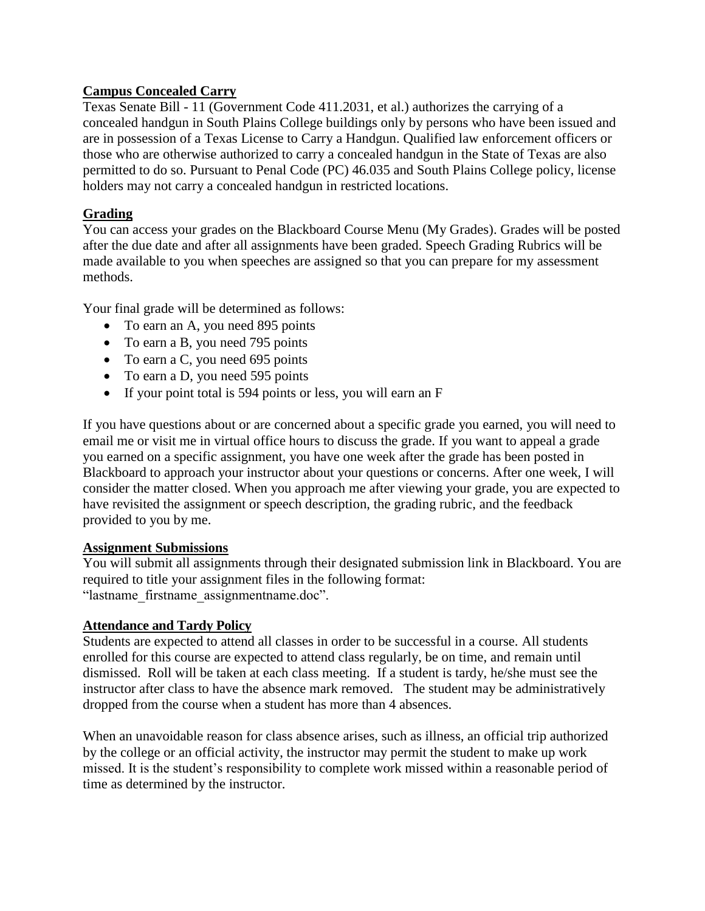# **Campus Concealed Carry**

Texas Senate Bill - 11 (Government Code 411.2031, et al.) authorizes the carrying of a concealed handgun in South Plains College buildings only by persons who have been issued and are in possession of a Texas License to Carry a Handgun. Qualified law enforcement officers or those who are otherwise authorized to carry a concealed handgun in the State of Texas are also permitted to do so. Pursuant to Penal Code (PC) 46.035 and South Plains College policy, license holders may not carry a concealed handgun in restricted locations.

# **Grading**

You can access your grades on the Blackboard Course Menu (My Grades). Grades will be posted after the due date and after all assignments have been graded. Speech Grading Rubrics will be made available to you when speeches are assigned so that you can prepare for my assessment methods.

Your final grade will be determined as follows:

- To earn an A, you need 895 points
- To earn a B, you need 795 points
- To earn a C, you need 695 points
- To earn a D, you need 595 points
- If your point total is 594 points or less, you will earn an F

If you have questions about or are concerned about a specific grade you earned, you will need to email me or visit me in virtual office hours to discuss the grade. If you want to appeal a grade you earned on a specific assignment, you have one week after the grade has been posted in Blackboard to approach your instructor about your questions or concerns. After one week, I will consider the matter closed. When you approach me after viewing your grade, you are expected to have revisited the assignment or speech description, the grading rubric, and the feedback provided to you by me.

## **Assignment Submissions**

You will submit all assignments through their designated submission link in Blackboard. You are required to title your assignment files in the following format: "lastname\_firstname\_assignmentname.doc".

## **Attendance and Tardy Policy**

Students are expected to attend all classes in order to be successful in a course. All students enrolled for this course are expected to attend class regularly, be on time, and remain until dismissed. Roll will be taken at each class meeting. If a student is tardy, he/she must see the instructor after class to have the absence mark removed. The student may be administratively dropped from the course when a student has more than 4 absences.

When an unavoidable reason for class absence arises, such as illness, an official trip authorized by the college or an official activity, the instructor may permit the student to make up work missed. It is the student's responsibility to complete work missed within a reasonable period of time as determined by the instructor.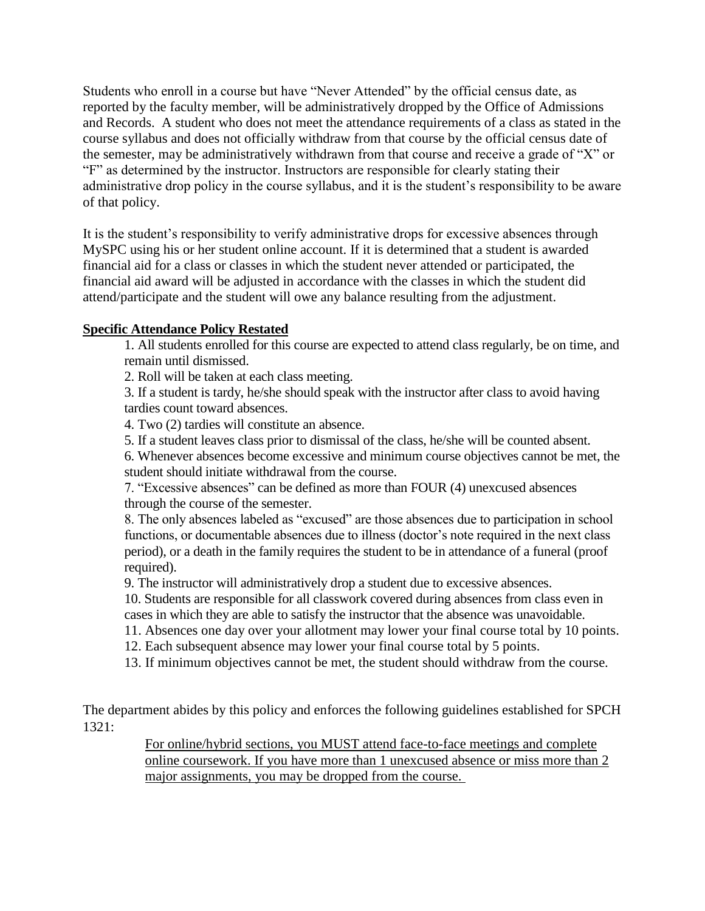Students who enroll in a course but have "Never Attended" by the official census date, as reported by the faculty member, will be administratively dropped by the Office of Admissions and Records. A student who does not meet the attendance requirements of a class as stated in the course syllabus and does not officially withdraw from that course by the official census date of the semester, may be administratively withdrawn from that course and receive a grade of "X" or "F" as determined by the instructor. Instructors are responsible for clearly stating their administrative drop policy in the course syllabus, and it is the student's responsibility to be aware of that policy.

It is the student's responsibility to verify administrative drops for excessive absences through MySPC using his or her student online account. If it is determined that a student is awarded financial aid for a class or classes in which the student never attended or participated, the financial aid award will be adjusted in accordance with the classes in which the student did attend/participate and the student will owe any balance resulting from the adjustment.

### **Specific Attendance Policy Restated**

1. All students enrolled for this course are expected to attend class regularly, be on time, and remain until dismissed.

2. Roll will be taken at each class meeting.

3. If a student is tardy, he/she should speak with the instructor after class to avoid having tardies count toward absences.

4. Two (2) tardies will constitute an absence.

5. If a student leaves class prior to dismissal of the class, he/she will be counted absent.

6. Whenever absences become excessive and minimum course objectives cannot be met, the student should initiate withdrawal from the course.

7. "Excessive absences" can be defined as more than FOUR (4) unexcused absences through the course of the semester.

8. The only absences labeled as "excused" are those absences due to participation in school functions, or documentable absences due to illness (doctor's note required in the next class period), or a death in the family requires the student to be in attendance of a funeral (proof required).

9. The instructor will administratively drop a student due to excessive absences.

10. Students are responsible for all classwork covered during absences from class even in cases in which they are able to satisfy the instructor that the absence was unavoidable.

11. Absences one day over your allotment may lower your final course total by 10 points.

12. Each subsequent absence may lower your final course total by 5 points.

13. If minimum objectives cannot be met, the student should withdraw from the course.

The department abides by this policy and enforces the following guidelines established for SPCH 1321:

> For online/hybrid sections, you MUST attend face-to-face meetings and complete online coursework. If you have more than 1 unexcused absence or miss more than 2 major assignments, you may be dropped from the course.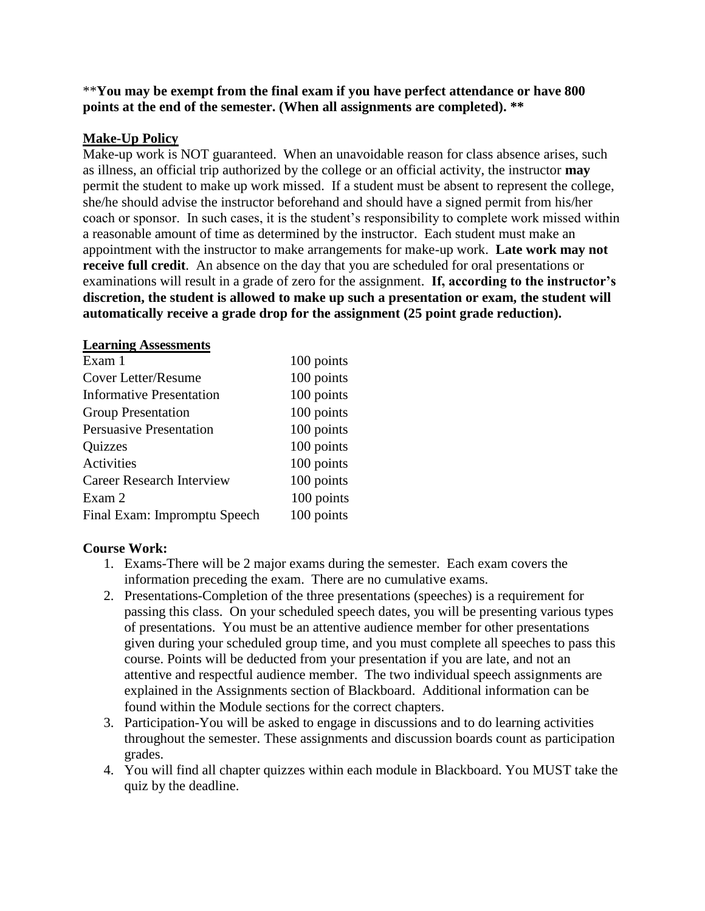### \*\***You may be exempt from the final exam if you have perfect attendance or have 800 points at the end of the semester. (When all assignments are completed). \*\***

### **Make-Up Policy**

Make-up work is NOT guaranteed. When an unavoidable reason for class absence arises, such as illness, an official trip authorized by the college or an official activity, the instructor **may** permit the student to make up work missed. If a student must be absent to represent the college, she/he should advise the instructor beforehand and should have a signed permit from his/her coach or sponsor. In such cases, it is the student's responsibility to complete work missed within a reasonable amount of time as determined by the instructor. Each student must make an appointment with the instructor to make arrangements for make-up work. **Late work may not receive full credit**. An absence on the day that you are scheduled for oral presentations or examinations will result in a grade of zero for the assignment. **If, according to the instructor's discretion, the student is allowed to make up such a presentation or exam, the student will automatically receive a grade drop for the assignment (25 point grade reduction).**

#### **Learning Assessments**

| Exam 1                           | 100 points |
|----------------------------------|------------|
| Cover Letter/Resume              | 100 points |
| <b>Informative Presentation</b>  | 100 points |
| <b>Group Presentation</b>        | 100 points |
| <b>Persuasive Presentation</b>   | 100 points |
| <b>Quizzes</b>                   | 100 points |
| Activities                       | 100 points |
| <b>Career Research Interview</b> | 100 points |
| Exam 2                           | 100 points |
| Final Exam: Impromptu Speech     | 100 points |

#### **Course Work:**

- 1. Exams-There will be 2 major exams during the semester. Each exam covers the information preceding the exam. There are no cumulative exams.
- 2. Presentations-Completion of the three presentations (speeches) is a requirement for passing this class. On your scheduled speech dates, you will be presenting various types of presentations. You must be an attentive audience member for other presentations given during your scheduled group time, and you must complete all speeches to pass this course. Points will be deducted from your presentation if you are late, and not an attentive and respectful audience member. The two individual speech assignments are explained in the Assignments section of Blackboard. Additional information can be found within the Module sections for the correct chapters.
- 3. Participation-You will be asked to engage in discussions and to do learning activities throughout the semester. These assignments and discussion boards count as participation grades.
- 4. You will find all chapter quizzes within each module in Blackboard. You MUST take the quiz by the deadline.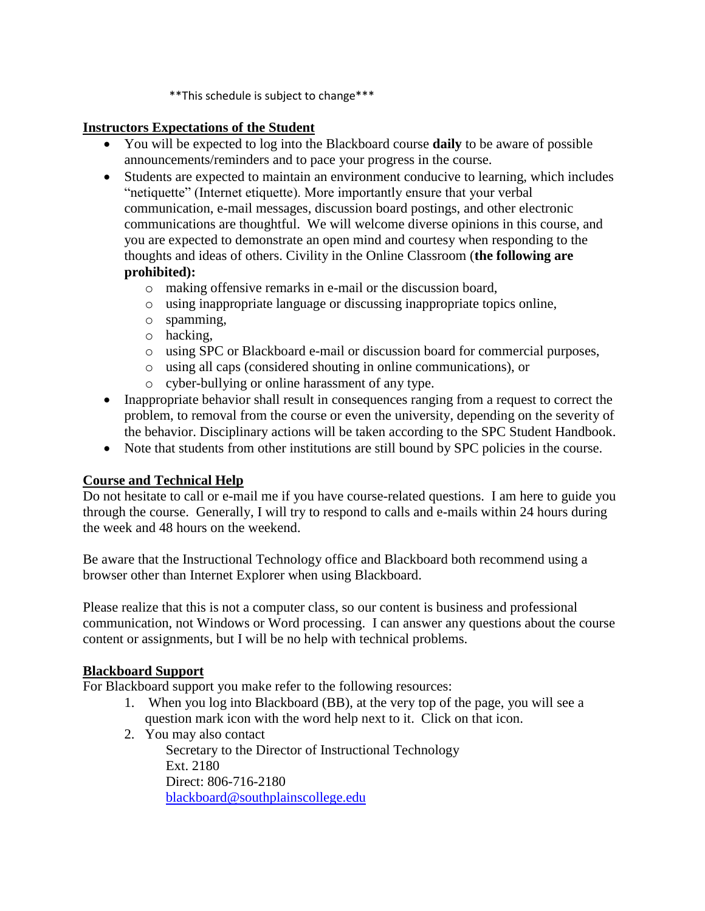\*\*This schedule is subject to change\*\*\*

# **Instructors Expectations of the Student**

- You will be expected to log into the Blackboard course **daily** to be aware of possible announcements/reminders and to pace your progress in the course.
- Students are expected to maintain an environment conducive to learning, which includes "netiquette" (Internet etiquette). More importantly ensure that your verbal communication, e-mail messages, discussion board postings, and other electronic communications are thoughtful. We will welcome diverse opinions in this course, and you are expected to demonstrate an open mind and courtesy when responding to the thoughts and ideas of others. Civility in the Online Classroom (**the following are prohibited):** 
	- o making offensive remarks in e-mail or the discussion board,
	- o using inappropriate language or discussing inappropriate topics online,
	- o spamming,
	- o hacking,
	- o using SPC or Blackboard e-mail or discussion board for commercial purposes,
	- o using all caps (considered shouting in online communications), or
	- o cyber-bullying or online harassment of any type.
- Inappropriate behavior shall result in consequences ranging from a request to correct the problem, to removal from the course or even the university, depending on the severity of the behavior. Disciplinary actions will be taken according to the SPC Student Handbook.
- Note that students from other institutions are still bound by SPC policies in the course.

# **Course and Technical Help**

Do not hesitate to call or e-mail me if you have course-related questions. I am here to guide you through the course. Generally, I will try to respond to calls and e-mails within 24 hours during the week and 48 hours on the weekend.

Be aware that the Instructional Technology office and Blackboard both recommend using a browser other than Internet Explorer when using Blackboard.

Please realize that this is not a computer class, so our content is business and professional communication, not Windows or Word processing. I can answer any questions about the course content or assignments, but I will be no help with technical problems.

## **Blackboard Support**

For Blackboard support you make refer to the following resources:

- 1. When you log into Blackboard (BB), at the very top of the page, you will see a question mark icon with the word help next to it. Click on that icon.
- 2. You may also contact

Secretary to the Director of Instructional Technology Ext. 2180 Direct: 806-716-2180 [blackboard@southplainscollege.edu](mailto:jetucker@southplainscollege.edu)